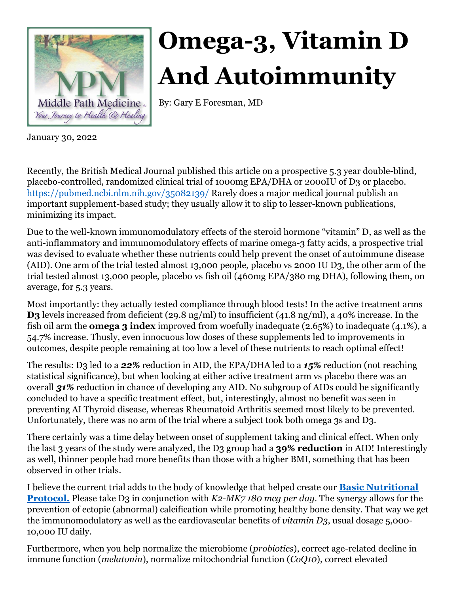

## **Omega-3, Vitamin D And Autoimmunity**

By: Gary E Foresman, MD

January 30, 2022

Recently, the British Medical Journal published this article on a prospective 5.3 year double-blind, placebo-controlled, randomized clinical trial of 1000mg EPA/DHA or 2000IU of D3 or placebo. <https://pubmed.ncbi.nlm.nih.gov/35082139/> Rarely does a major medical journal publish an important supplement-based study; they usually allow it to slip to lesser-known publications, minimizing its impact.

Due to the well-known immunomodulatory effects of the steroid hormone "vitamin" D, as well as the anti-inflammatory and immunomodulatory effects of marine omega-3 fatty acids, a prospective trial was devised to evaluate whether these nutrients could help prevent the onset of autoimmune disease (AID). One arm of the trial tested almost 13,000 people, placebo vs 2000 IU D3, the other arm of the trial tested almost 13,000 people, placebo vs fish oil (460mg EPA/380 mg DHA), following them, on average, for 5.3 years.

Most importantly: they actually tested compliance through blood tests! In the active treatment arms **D3** levels increased from deficient (29.8 ng/ml) to insufficient (41.8 ng/ml), a 40% increase. In the fish oil arm the **omega 3 index** improved from woefully inadequate (2.65%) to inadequate (4.1%), a 54.7% increase. Thusly, even innocuous low doses of these supplements led to improvements in outcomes, despite people remaining at too low a level of these nutrients to reach optimal effect!

The results: D3 led to a *22%* reduction in AID, the EPA/DHA led to a *15%* reduction (not reaching statistical significance), but when looking at either active treatment arm vs placebo there was an overall *31%* reduction in chance of developing any AID. No subgroup of AIDs could be significantly concluded to have a specific treatment effect, but, interestingly, almost no benefit was seen in preventing AI Thyroid disease, whereas Rheumatoid Arthritis seemed most likely to be prevented. Unfortunately, there was no arm of the trial where a subject took both omega 3s and D3.

There certainly was a time delay between onset of supplement taking and clinical effect. When only the last 3 years of the study were analyzed, the D3 group had a **39% reduction** in AID! Interestingly as well, thinner people had more benefits than those with a higher BMI, something that has been observed in other trials.

I believe the current trial adds to the body of knowledge that helped create our **[Basic Nutritional](https://middlepathmedicine.com/wp-content/uploads/bsk-pdf-manager/2021/07/BNP-color-Oct-2020-update.pdf)  [Protocol.](https://middlepathmedicine.com/wp-content/uploads/bsk-pdf-manager/2021/07/BNP-color-Oct-2020-update.pdf)** Please take D3 in conjunction with *K2-MK7 180 mcg per day*. The synergy allows for the prevention of ectopic (abnormal) calcification while promoting healthy bone density. That way we get the immunomodulatory as well as the cardiovascular benefits of *vitamin D3*, usual dosage 5,000- 10,000 IU daily.

Furthermore, when you help normalize the microbiome (*probiotics*), correct age-related decline in immune function (*melatonin*), normalize mitochondrial function (*CoQ10*), correct elevated